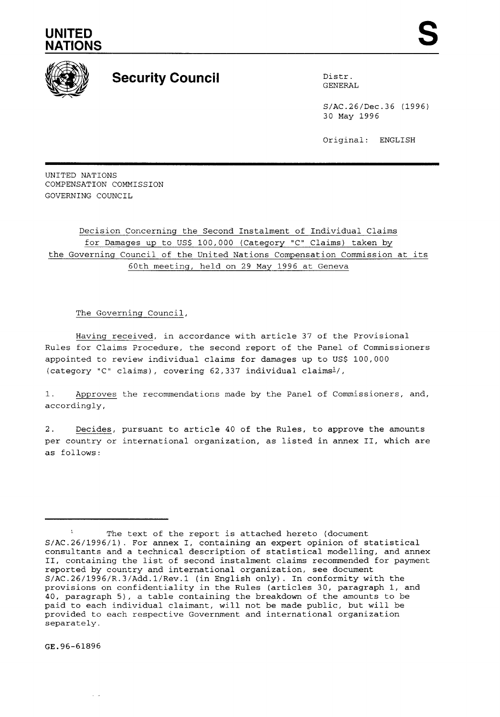## **UNITED NATIONS**



## **Security Council 1996 Distribution Council 1996 District Council**

GENERAL

S/AC.26/Dec.36 (1996) 30 May 1996

Original: ENGLISH

UNITED NATIONS COMPENSATION COMMISSION GOVERNING COUNCIL

Decision Concerning the Second Instalment of Individual Claims for Damages up to US\$ 100,000 (Category "C" Claims) taken by the Governing Council of the United Nations Compensation Commission at its 60th meeting, held on 29 May 1996 at Geneva

## The Governing Council,

Having received, in accordance with article 37 of the Provisional Rules for Claims Procedure, the second report of the Panel of Commissioners appointed to review individual claims for damages up to US\$ 100,000 (category "C" claims), covering 62,337 individual claimsl/,

1. Approves the recommendations made by the Panel of Commissioners, and, accordingly,

2. Decides, pursuant to article 40 of the Rules, to approve the amounts per country or international organization, as listed in annex 11, which are as follows:

GE.96-61896

 $\sim$   $\sim$ 

**<sup>1</sup>**The text of the report is attached hereto (document S/AC.26/1996/1). For annex I, containing an expert opinion of statistical consultants and a technical description of statistical modelling, and annex 11, containing the list of second instalment claims recommended for payment reported by country and international organization, see document **S/AC.26/1996/R.3/Add.l/Rev.l** (in English only). In conformity with the provisions on confidentiality in the Rules (articles 30, paragraph 1, and 40, paragraph 5), a table containing the breakdown of the amounts to be paid to each individual claimant, will not be made public, but will be provided to each respective Government and international organization separately.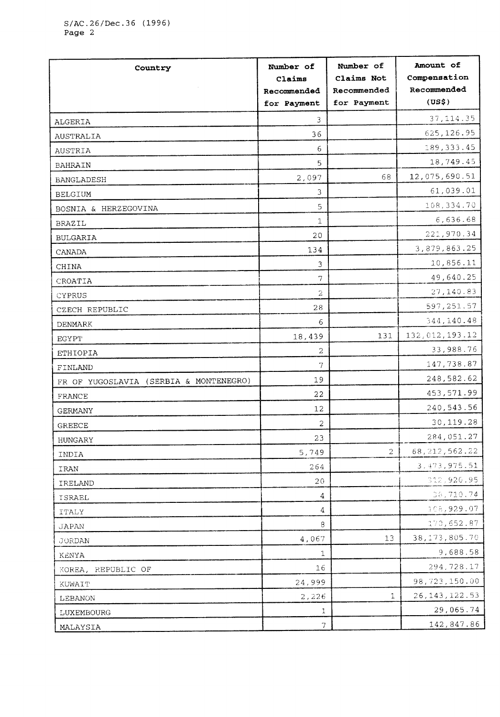| Country                                | Number of    | Number of      | Amount of          |
|----------------------------------------|--------------|----------------|--------------------|
|                                        | Claims       | Claims Not     | Compensation       |
|                                        | Recommended  | Recommended    | Recommended        |
|                                        | for Payment  | for Payment    | (US <sub>5</sub> ) |
| ALGERIA                                | 3            |                | 37, 114.35         |
| AUSTRALIA                              | 36           |                | 625,126.95         |
| AUSTRIA                                | 6            |                | 189, 333.45        |
| <b>BAHRAIN</b>                         | 5            |                | 18,749.45          |
| <b>BANGLADESH</b>                      | 2,097        | 68             | 12,075,690.51      |
| <b>BELGIUM</b>                         | 3            |                | 61,039.01          |
| BOSNIA & HERZEGOVINA                   | 5            |                | 108,334.70         |
| BRAZIL                                 | 1            |                | 6,636.68           |
| <b>BULGARIA</b>                        | 20           |                | 221,970.34         |
| CANADA                                 | 134          |                | 3,879,863.25       |
| CHINA                                  | 3            |                | 10,856.11          |
| CROATIA                                | 7            |                | 49,640.25          |
| CYPRUS                                 | 2            |                | 27,140.83          |
| CZECH REPUBLIC                         | 28           |                | 597, 251.57        |
| DENMARK                                | 6            |                | 344,140.48         |
| $_{\rm EGYPT}$                         | 18,439       | 131            | 132, 012, 193.12   |
| ETHIOPIA                               | 2            |                | 33,988.76          |
| FINLAND                                | 7            |                | 147,738.87         |
| FR OF YUGOSLAVIA (SERBIA & MONTENEGRO) | 19           |                | 248,582.62         |
| FRANCE                                 | 22           |                | 453,571.99         |
| GERMANY                                | 12           |                | 240, 543.56        |
| <b>GREECE</b>                          | 2            |                | 30,119.28          |
| HUNGARY                                | 23           |                | 284,051.27         |
| INDIA                                  | 5,749        | $\overline{2}$ | 68, 212, 562.22    |
| IRAN                                   | 264          |                | 3, 473, 975.51     |
| IRELAND                                | 20           |                | 312,920.95         |
| ISRAEL                                 | 4            |                | 38,710.74          |
| <b>ITALY</b>                           | 4            |                | 108,929.07         |
| JAPAN                                  | 8            |                | 170,652.87         |
| <b>JORDAN</b>                          | 4,067        | 13             | 38, 173, 805. 70   |
| KENYA                                  | $\mathbf{1}$ |                | 9,688.58           |
| KOREA, REPUBLIC OF                     | 16           |                | 294,728.17         |
| KUWAIT                                 | 24,999       |                | 98,723,150.00      |
| LEBANON                                | 2,226        | $\mathbf{1}$   | 26, 143, 122.53    |
| LUXEMBOURG                             | 1            |                | 29,065.74          |
| MALAYSIA                               | 7            |                | 142,847.86         |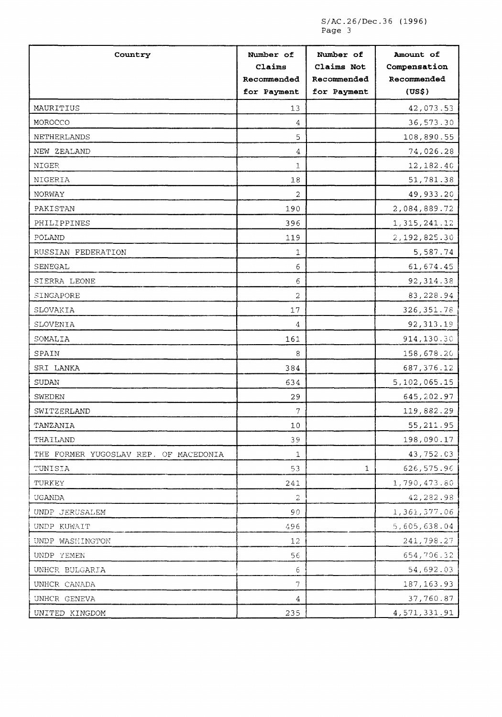S/AC.26/Dec.36 (1996) Page 3

| Country                               | Number of<br>Claims<br>Recommended<br>for Payment | Number of<br>Claims Not<br>Recommended<br>for Payment | Amount of<br>Compensation<br>Recommended<br>(US\$) |
|---------------------------------------|---------------------------------------------------|-------------------------------------------------------|----------------------------------------------------|
| MAURITIUS                             | 13                                                |                                                       | 42,073.53                                          |
| MOROCCO                               | 4                                                 |                                                       | 36,573.30                                          |
| NETHERLANDS                           | 5                                                 |                                                       | 108,890.55                                         |
| NEW ZEALAND                           | 4                                                 |                                                       | 74,026.28                                          |
| NIGER                                 | $\mathbf{1}$                                      |                                                       | 12,182.40                                          |
| NIGERIA                               | $18\,$                                            |                                                       | 51,781.38                                          |
| NORWAY                                | 2                                                 |                                                       | 49,933.20                                          |
| PAKISTAN                              | 190                                               |                                                       | 2,084,889.72                                       |
| PHILIPPINES                           | 396                                               |                                                       | 1,315,241.12                                       |
| POLAND                                | 119                                               |                                                       | 2,192,825.30                                       |
| RUSSIAN FEDERATION                    | 1                                                 |                                                       | 5,587.74                                           |
| SENEGAL                               | 6                                                 |                                                       | 61,674.45                                          |
| SIERRA LEONE                          | 6                                                 |                                                       | 92,314.38                                          |
| SINGAPORE                             | $\overline{c}$                                    |                                                       | 83,228.94                                          |
| SLOVAKIA                              | 17                                                |                                                       | 326, 351.78                                        |
| SLOVENIA                              | 4                                                 |                                                       | 92, 313.19                                         |
| SOMALIA                               | 161                                               |                                                       | 914,130.30                                         |
| SPAIN                                 | 8                                                 |                                                       | 158,678.20                                         |
| SRI LANKA                             | 384                                               |                                                       | 687, 376.12                                        |
| SUDAN                                 | 634                                               |                                                       | 5,102,065.15                                       |
| SWEDEN                                | 29                                                |                                                       | 645,202.97                                         |
| SWITZERLAND                           | 7                                                 |                                                       | 119,882.29                                         |
| TANZANIA                              | $10$                                              |                                                       | 55, 211.95                                         |
| THAILAND                              | 39                                                |                                                       | 198,090.17                                         |
| THE FORMER YUGOSLAV REP. OF MACEDONIA | $\mathbf 1$                                       |                                                       | 43,752.03                                          |
| TUNISIA                               | 53                                                | 1                                                     | 626,575.96                                         |
| TURKEY                                | 241                                               |                                                       | 1,790,473.80                                       |
| UGANDA                                | 2                                                 |                                                       | 42,282.98                                          |
| UNDP JERUSALEM                        | 90                                                |                                                       | 1,361,377.06                                       |
| UNDP KUWAIT                           | 496                                               |                                                       | 5,605,638.04                                       |
| UNDP WASHINGTON                       | 12                                                |                                                       | 241,798.27                                         |
| UNDP YEMEN                            | 56                                                |                                                       | 654,706.32                                         |
| UNHCR BULGARIA                        | 6                                                 |                                                       | 54,692.03                                          |
| UNHCR CANADA                          | 7                                                 |                                                       | 187, 163.93                                        |
| UNHCR GENEVA                          | 4                                                 |                                                       | 37,760.87                                          |
| UNITED KINGDOM                        | 235                                               |                                                       | 4, 571, 331.91                                     |